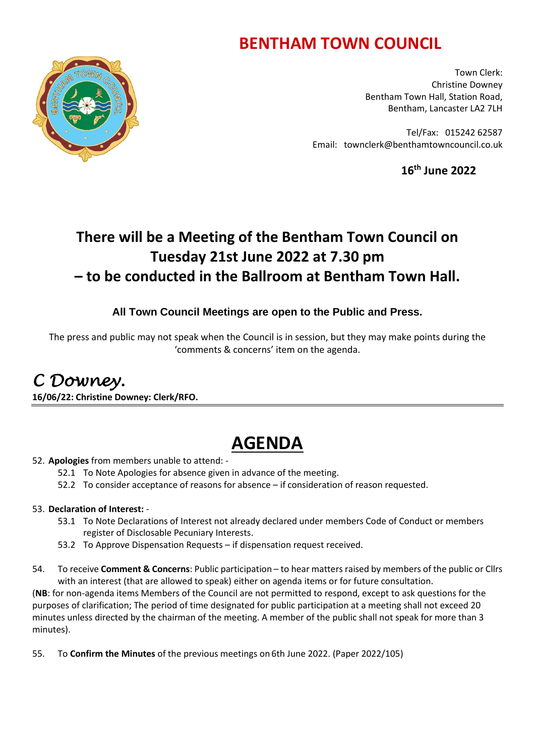# **BENTHAM TOWN COUNCIL**



Town Clerk: Christine Downey Bentham Town Hall, Station Road, Bentham, Lancaster LA2 7LH

Tel/Fax: 015242 62587 Email: townclerk@benthamtowncouncil.co.uk

**16 th June 2022**

## **There will be a Meeting of the Bentham Town Council on Tuesday 21st June 2022 at 7.30 pm – to be conducted in the Ballroom at Bentham Town Hall.**

### **All Town Council Meetings are open to the Public and Press.**

The press and public may not speak when the Council is in session, but they may make points during the 'comments & concerns' item on the agenda.

# *C Downey.*

**16/06/22: Christine Downey: Clerk/RFO.** 

# **AGENDA**

### 52. **Apologies** from members unable to attend: -

- 52.1 To Note Apologies for absence given in advance of the meeting.
- 52.2 To consider acceptance of reasons for absence if consideration of reason requested.

### 53. **Declaration of Interest:** -

- 53.1 To Note Declarations of Interest not already declared under members Code of Conduct or members register of Disclosable Pecuniary Interests.
- 53.2 To Approve Dispensation Requests if dispensation request received.
- 54. To receive **Comment & Concerns**: Public participation to hear matters raised by members of the public or Cllrs with an interest (that are allowed to speak) either on agenda items or for future consultation.

(**NB**: for non-agenda items Members of the Council are not permitted to respond, except to ask questions for the purposes of clarification; The period of time designated for public participation at a meeting shall not exceed 20 minutes unless directed by the chairman of the meeting. A member of the public shall not speak for more than 3 minutes).

55. To **Confirm the Minutes** of the previous meetings on 6th June 2022. (Paper 2022/105)